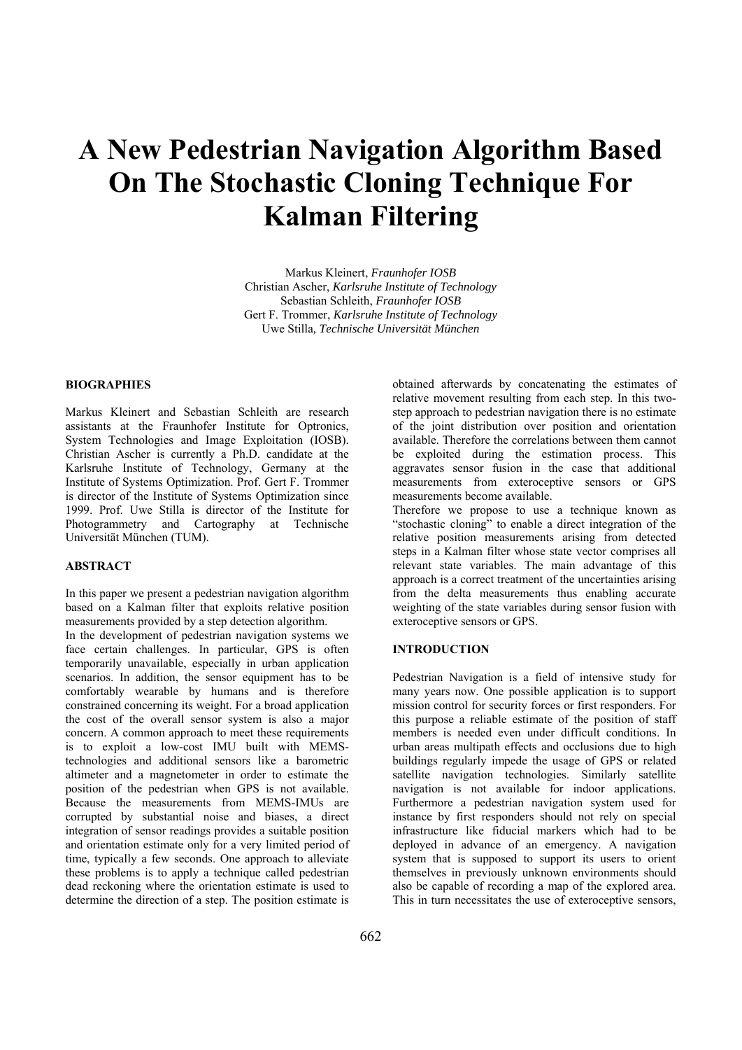# **A New Pedestrian Navigation Algorithm Based On The Stochastic Cloning Technique For Kalman Filtering**

Markus Kleinert, *Fraunhofer IOSB*  Christian Ascher, *Karlsruhe Institute of Technology*  Sebastian Schleith, *Fraunhofer IOSB*  Gert F. Trommer, *Karlsruhe Institute of Technology*  Uwe Stilla*, Technische Universität München* 

#### **BIOGRAPHIES**

Markus Kleinert and Sebastian Schleith are research assistants at the Fraunhofer Institute for Optronics, System Technologies and Image Exploitation (IOSB). Christian Ascher is currently a Ph.D. candidate at the Karlsruhe Institute of Technology, Germany at the Institute of Systems Optimization. Prof. Gert F. Trommer is director of the Institute of Systems Optimization since 1999. Prof. Uwe Stilla is director of the Institute for Photogrammetry and Cartography at Technische Universität München (TUM).

## **ABSTRACT**

In this paper we present a pedestrian navigation algorithm based on a Kalman filter that exploits relative position measurements provided by a step detection algorithm.

In the development of pedestrian navigation systems we face certain challenges. In particular, GPS is often temporarily unavailable, especially in urban application scenarios. In addition, the sensor equipment has to be comfortably wearable by humans and is therefore constrained concerning its weight. For a broad application the cost of the overall sensor system is also a major concern. A common approach to meet these requirements is to exploit a low-cost IMU built with MEMStechnologies and additional sensors like a barometric altimeter and a magnetometer in order to estimate the position of the pedestrian when GPS is not available. Because the measurements from MEMS-IMUs are corrupted by substantial noise and biases, a direct integration of sensor readings provides a suitable position and orientation estimate only for a very limited period of time, typically a few seconds. One approach to alleviate these problems is to apply a technique called pedestrian dead reckoning where the orientation estimate is used to determine the direction of a step. The position estimate is

obtained afterwards by concatenating the estimates of relative movement resulting from each step. In this twostep approach to pedestrian navigation there is no estimate of the joint distribution over position and orientation available. Therefore the correlations between them cannot be exploited during the estimation process. This aggravates sensor fusion in the case that additional measurements from exteroceptive sensors or GPS measurements become available.

Therefore we propose to use a technique known as "stochastic cloning" to enable a direct integration of the relative position measurements arising from detected steps in a Kalman filter whose state vector comprises all relevant state variables. The main advantage of this approach is a correct treatment of the uncertainties arising from the delta measurements thus enabling accurate weighting of the state variables during sensor fusion with exteroceptive sensors or GPS.

#### **INTRODUCTION**

Pedestrian Navigation is a field of intensive study for many years now. One possible application is to support mission control for security forces or first responders. For this purpose a reliable estimate of the position of staff members is needed even under difficult conditions. In urban areas multipath effects and occlusions due to high buildings regularly impede the usage of GPS or related satellite navigation technologies. Similarly satellite navigation is not available for indoor applications. Furthermore a pedestrian navigation system used for instance by first responders should not rely on special infrastructure like fiducial markers which had to be deployed in advance of an emergency. A navigation system that is supposed to support its users to orient themselves in previously unknown environments should also be capable of recording a map of the explored area. This in turn necessitates the use of exteroceptive sensors,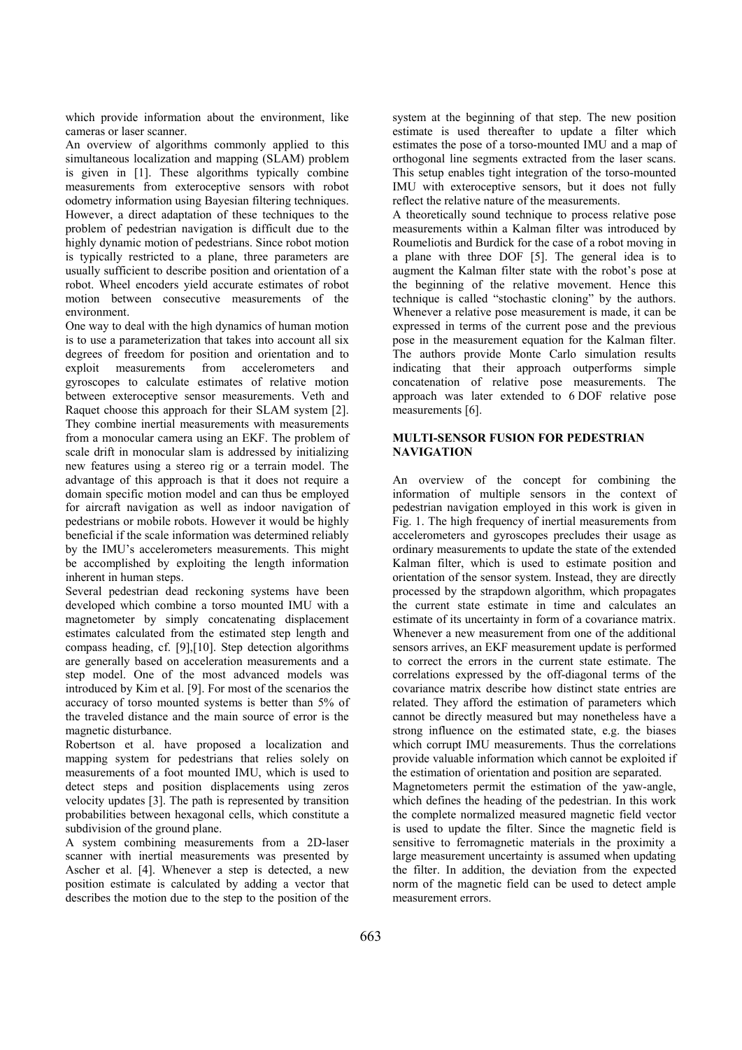which provide information about the environment, like cameras or laser scanner.

An overview of algorithms commonly applied to this simultaneous localization and mapping (SLAM) problem is given in [1]. These algorithms typically combine measurements from exteroceptive sensors with robot odometry information using Bayesian filtering techniques. However, a direct adaptation of these techniques to the problem of pedestrian navigation is difficult due to the highly dynamic motion of pedestrians. Since robot motion is typically restricted to a plane, three parameters are usually sufficient to describe position and orientation of a robot. Wheel encoders yield accurate estimates of robot motion between consecutive measurements of the environment.

One way to deal with the high dynamics of human motion is to use a parameterization that takes into account all six degrees of freedom for position and orientation and to exploit measurements from accelerometers and gyroscopes to calculate estimates of relative motion between exteroceptive sensor measurements. Veth and Raquet choose this approach for their SLAM system [2]. They combine inertial measurements with measurements from a monocular camera using an EKF. The problem of scale drift in monocular slam is addressed by initializing new features using a stereo rig or a terrain model. The advantage of this approach is that it does not require a domain specific motion model and can thus be employed for aircraft navigation as well as indoor navigation of pedestrians or mobile robots. However it would be highly beneficial if the scale information was determined reliably by the IMU's accelerometers measurements. This might be accomplished by exploiting the length information inherent in human steps.

Several pedestrian dead reckoning systems have been developed which combine a torso mounted IMU with a magnetometer by simply concatenating displacement estimates calculated from the estimated step length and compass heading, cf. [9],[10]. Step detection algorithms are generally based on acceleration measurements and a step model. One of the most advanced models was introduced by Kim et al. [9]. For most of the scenarios the accuracy of torso mounted systems is better than 5% of the traveled distance and the main source of error is the magnetic disturbance.

Robertson et al. have proposed a localization and mapping system for pedestrians that relies solely on measurements of a foot mounted IMU, which is used to detect steps and position displacements using zeros velocity updates [3]. The path is represented by transition probabilities between hexagonal cells, which constitute a subdivision of the ground plane.

A system combining measurements from a 2D-laser scanner with inertial measurements was presented by Ascher et al. [4]. Whenever a step is detected, a new position estimate is calculated by adding a vector that describes the motion due to the step to the position of the

system at the beginning of that step. The new position estimate is used thereafter to update a filter which estimates the pose of a torso-mounted IMU and a map of orthogonal line segments extracted from the laser scans. This setup enables tight integration of the torso-mounted IMU with exteroceptive sensors, but it does not fully reflect the relative nature of the measurements.

A theoretically sound technique to process relative pose measurements within a Kalman filter was introduced by Roumeliotis and Burdick for the case of a robot moving in a plane with three DOF [5]. The general idea is to augment the Kalman filter state with the robot's pose at the beginning of the relative movement. Hence this technique is called "stochastic cloning" by the authors. Whenever a relative pose measurement is made, it can be expressed in terms of the current pose and the previous pose in the measurement equation for the Kalman filter. The authors provide Monte Carlo simulation results indicating that their approach outperforms simple concatenation of relative pose measurements. The approach was later extended to 6 DOF relative pose measurements [6].

## **MULTI-SENSOR FUSION FOR PEDESTRIAN NAVIGATION**

An overview of the concept for combining the information of multiple sensors in the context of pedestrian navigation employed in this work is given in Fig. 1. The high frequency of inertial measurements from accelerometers and gyroscopes precludes their usage as ordinary measurements to update the state of the extended Kalman filter, which is used to estimate position and orientation of the sensor system. Instead, they are directly processed by the strapdown algorithm, which propagates the current state estimate in time and calculates an estimate of its uncertainty in form of a covariance matrix. Whenever a new measurement from one of the additional sensors arrives, an EKF measurement update is performed to correct the errors in the current state estimate. The correlations expressed by the off-diagonal terms of the covariance matrix describe how distinct state entries are related. They afford the estimation of parameters which cannot be directly measured but may nonetheless have a strong influence on the estimated state, e.g. the biases which corrupt IMU measurements. Thus the correlations provide valuable information which cannot be exploited if the estimation of orientation and position are separated. Magnetometers permit the estimation of the yaw-angle, which defines the heading of the pedestrian. In this work the complete normalized measured magnetic field vector

is used to update the filter. Since the magnetic field is

sensitive to ferromagnetic materials in the proximity a large measurement uncertainty is assumed when updating the filter. In addition, the deviation from the expected norm of the magnetic field can be used to detect ample measurement errors.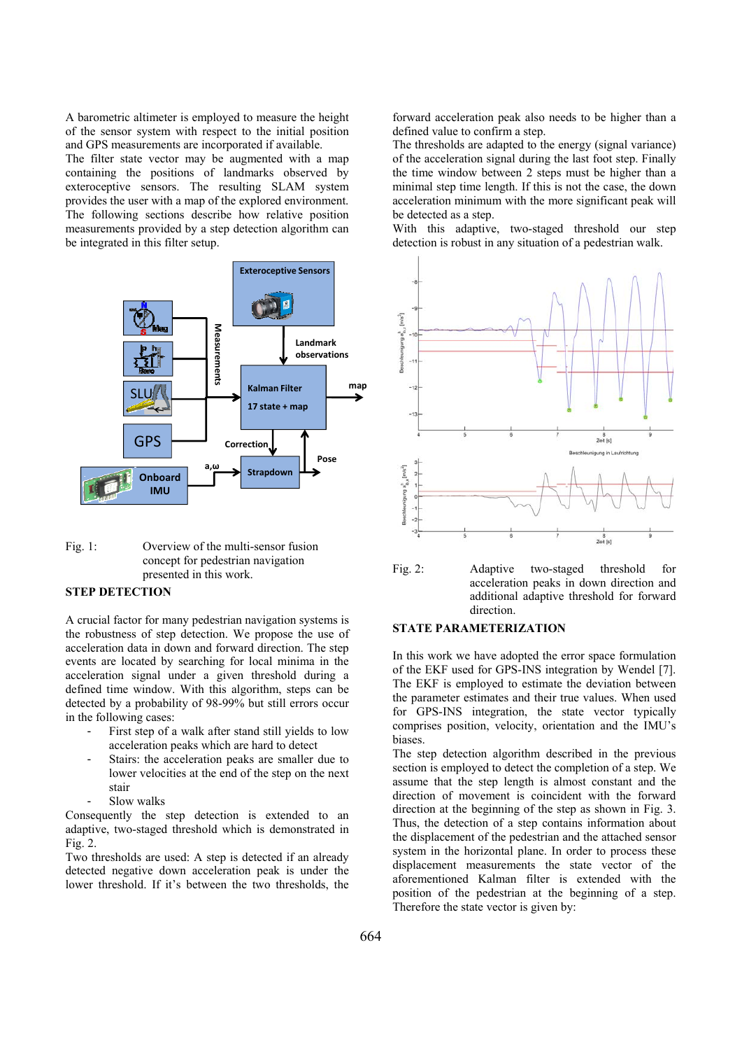A barometric altimeter is employed to measure the height of the sensor system with respect to the initial position and GPS measurements are incorporated if available.

The filter state vector may be augmented with a map containing the positions of landmarks observed by exteroceptive sensors. The resulting SLAM system provides the user with a map of the explored environment. The following sections describe how relative position measurements provided by a step detection algorithm can be integrated in this filter setup.



Fig. 1: Overview of the multi-sensor fusion concept for pedestrian navigation presented in this work.

## **STEP DETECTION**

A crucial factor for many pedestrian navigation systems is the robustness of step detection. We propose the use of acceleration data in down and forward direction. The step events are located by searching for local minima in the acceleration signal under a given threshold during a defined time window. With this algorithm, steps can be detected by a probability of 98-99% but still errors occur in the following cases:

- First step of a walk after stand still yields to low acceleration peaks which are hard to detect
- Stairs: the acceleration peaks are smaller due to lower velocities at the end of the step on the next stair
- Slow walks

Consequently the step detection is extended to an adaptive, two-staged threshold which is demonstrated in Fig. 2.

Two thresholds are used: A step is detected if an already detected negative down acceleration peak is under the lower threshold. If it's between the two thresholds, the

forward acceleration peak also needs to be higher than a defined value to confirm a step.

The thresholds are adapted to the energy (signal variance) of the acceleration signal during the last foot step. Finally the time window between 2 steps must be higher than a minimal step time length. If this is not the case, the down acceleration minimum with the more significant peak will be detected as a step.

With this adaptive, two-staged threshold our step detection is robust in any situation of a pedestrian walk.



Fig. 2: Adaptive two-staged threshold for acceleration peaks in down direction and additional adaptive threshold for forward direction.

#### **STATE PARAMETERIZATION**

In this work we have adopted the error space formulation of the EKF used for GPS-INS integration by Wendel [7]. The EKF is employed to estimate the deviation between the parameter estimates and their true values. When used for GPS-INS integration, the state vector typically comprises position, velocity, orientation and the IMU's biases.

The step detection algorithm described in the previous section is employed to detect the completion of a step. We assume that the step length is almost constant and the direction of movement is coincident with the forward direction at the beginning of the step as shown in Fig. 3. Thus, the detection of a step contains information about the displacement of the pedestrian and the attached sensor system in the horizontal plane. In order to process these displacement measurements the state vector of the aforementioned Kalman filter is extended with the position of the pedestrian at the beginning of a step. Therefore the state vector is given by: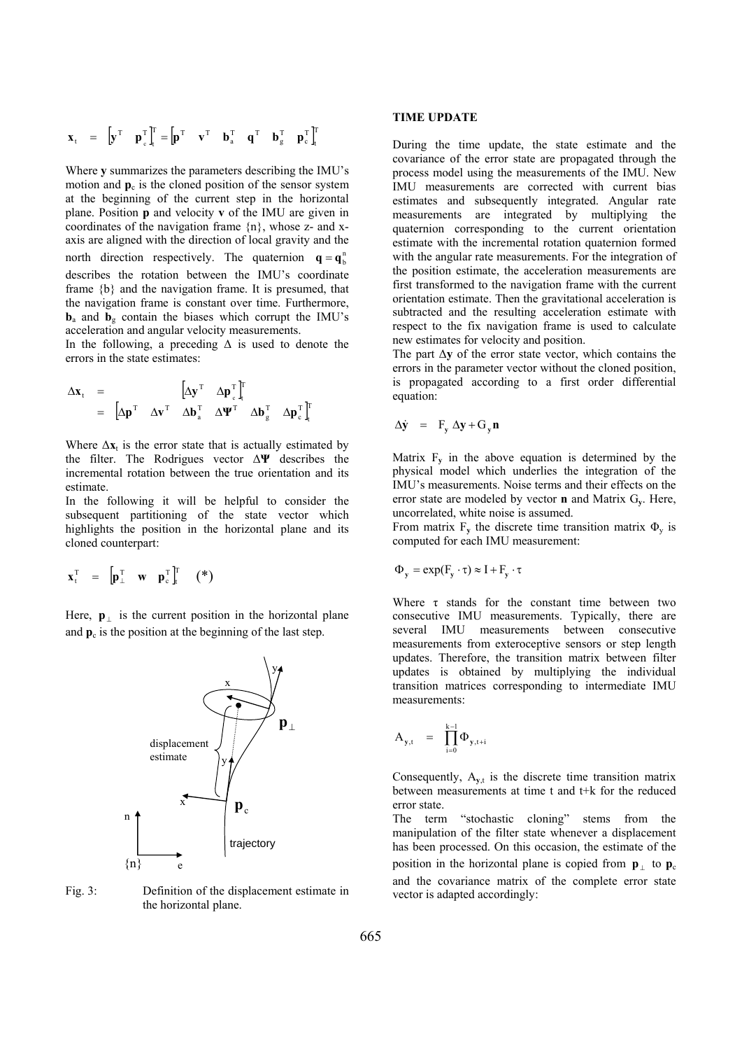$$
\mathbf{x}_{t} = \begin{bmatrix} \mathbf{y}^{T} & \mathbf{p}_{c}^{T} \end{bmatrix}_{t}^{T} = \begin{bmatrix} \mathbf{p}^{T} & \mathbf{v}^{T} & \mathbf{b}_{a}^{T} & \mathbf{q}^{T} & \mathbf{b}_{g}^{T} & \mathbf{p}_{c}^{T} \end{bmatrix}_{t}^{T}
$$

Where **y** summarizes the parameters describing the IMU's motion and  $\mathbf{p}_c$  is the cloned position of the sensor system at the beginning of the current step in the horizontal plane. Position **p** and velocity **v** of the IMU are given in coordinates of the navigation frame {n}, whose z- and xaxis are aligned with the direction of local gravity and the north direction respectively. The quaternion  $q = q_b^h$ describes the rotation between the IMU's coordinate frame {b} and the navigation frame. It is presumed, that the navigation frame is constant over time. Furthermore,  **and**  $**b**<sub>g</sub>$  **contain the biases which corrupt the IMU's** acceleration and angular velocity measurements.

In the following, a preceding  $\Delta$  is used to denote the errors in the state estimates:

$$
\Delta \mathbf{x}_{t} = \begin{bmatrix} \Delta \mathbf{y}^{T} & \Delta \mathbf{p}_{c}^{T} \end{bmatrix}_{t}^{T}
$$

$$
= \begin{bmatrix} \Delta \mathbf{p}^{T} & \Delta \mathbf{v}^{T} & \Delta \mathbf{b}_{a}^{T} & \Delta \mathbf{V}^{T} & \Delta \mathbf{b}_{g}^{T} & \Delta \mathbf{p}_{c}^{T} \end{bmatrix}_{t}^{T}
$$

Where  $\Delta x_t$  is the error state that is actually estimated by the filter. The Rodrigues vector Δ**Ψ** describes the incremental rotation between the true orientation and its estimate.

In the following it will be helpful to consider the subsequent partitioning of the state vector which highlights the position in the horizontal plane and its cloned counterpart:

$$
\boldsymbol{x}_t^T = \begin{bmatrix} \boldsymbol{p}_\perp^T & \boldsymbol{w} & \boldsymbol{p}_c^T \end{bmatrix}_t^T \quad (*)
$$

Here,  $\mathbf{p}_{\perp}$  is the current position in the horizontal plane and  $p_c$  is the position at the beginning of the last step.



Fig. 3: Definition of the displacement estimate in the horizontal plane.

#### **TIME UPDATE**

During the time update, the state estimate and the covariance of the error state are propagated through the process model using the measurements of the IMU. New IMU measurements are corrected with current bias estimates and subsequently integrated. Angular rate measurements are integrated by multiplying the quaternion corresponding to the current orientation estimate with the incremental rotation quaternion formed with the angular rate measurements. For the integration of the position estimate, the acceleration measurements are first transformed to the navigation frame with the current orientation estimate. Then the gravitational acceleration is subtracted and the resulting acceleration estimate with respect to the fix navigation frame is used to calculate new estimates for velocity and position.

The part  $\Delta y$  of the error state vector, which contains the errors in the parameter vector without the cloned position, is propagated according to a first order differential equation:

$$
\Delta \dot{\mathbf{y}} = \mathbf{F}_{\mathbf{y}} \Delta \mathbf{y} + \mathbf{G}_{\mathbf{y}} \mathbf{n}
$$

Matrix  $F_v$  in the above equation is determined by the physical model which underlies the integration of the IMU's measurements. Noise terms and their effects on the error state are modeled by vector **n** and Matrix G**y**. Here, uncorrelated, white noise is assumed.

From matrix  $F_v$  the discrete time transition matrix  $\Phi_v$  is computed for each IMU measurement:

$$
\Phi_{y} = \exp(F_{y} \cdot \tau) \approx I + F_{y} \cdot \tau
$$

Where  $\tau$  stands for the constant time between two consecutive IMU measurements. Typically, there are several IMU measurements between consecutive measurements from exteroceptive sensors or step length updates. Therefore, the transition matrix between filter updates is obtained by multiplying the individual transition matrices corresponding to intermediate IMU measurements:

$$
A_{y,t} = \prod_{i=0}^{k-1} \Phi_{y,t+i}
$$

Consequently,  $A_{v,t}$  is the discrete time transition matrix between measurements at time t and t+k for the reduced error state.

The term "stochastic cloning" stems from the manipulation of the filter state whenever a displacement has been processed. On this occasion, the estimate of the position in the horizontal plane is copied from  $\mathbf{p}_{\perp}$  to  $\mathbf{p}_{\rm c}$ and the covariance matrix of the complete error state vector is adapted accordingly: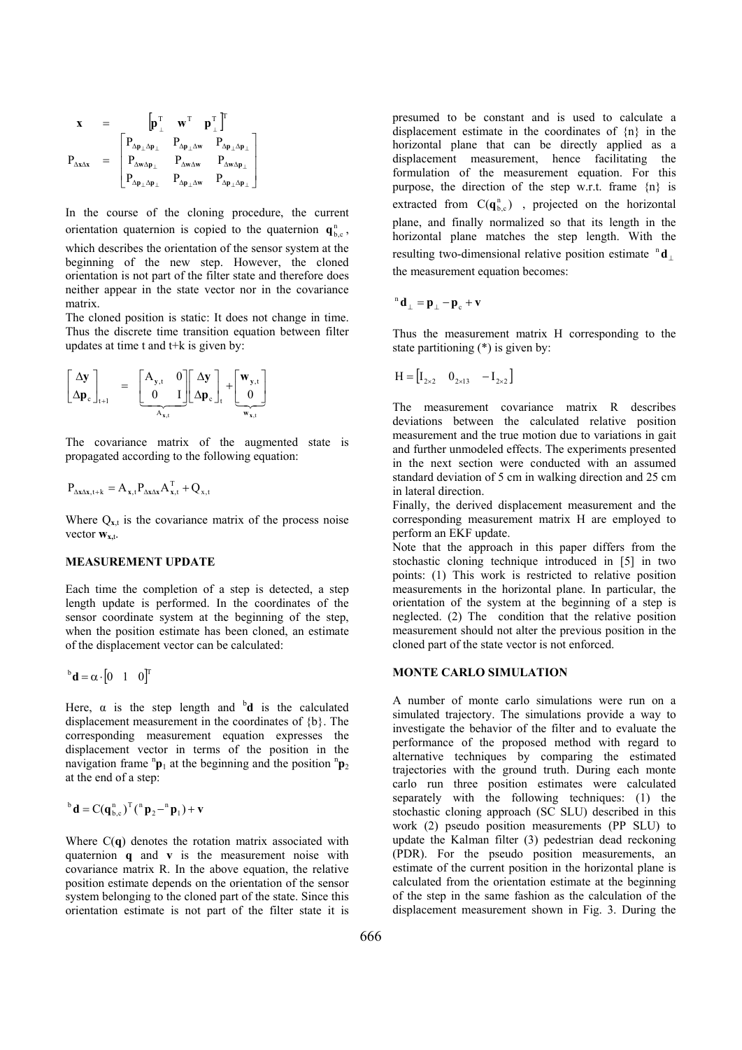$$
\begin{array}{ccl} \mathbf{x} & = & \begin{bmatrix} \mathbf{p}_{\perp}^{\mathrm{T}} & \mathbf{w}^{\mathrm{T}} & \mathbf{p}_{\perp}^{\mathrm{T}} \end{bmatrix}^{\mathrm{T}} \\ P_{\Delta \mathbf{p}_{\perp} \Delta \mathbf{p}_{\perp}} & P_{\Delta \mathbf{p}_{\perp} \Delta \mathbf{w}} & P_{\Delta \mathbf{p}_{\perp} \Delta \mathbf{p}_{\perp}} \\ P_{\Delta \mathbf{w}_{\Delta \mathbf{p}_{\perp}}} & P_{\Delta \mathbf{w}_{\Delta \mathbf{w}}} & P_{\Delta \mathbf{w}_{\Delta \mathbf{p}_{\perp}}} \\ P_{\Delta \mathbf{p}_{\perp} \Delta \mathbf{p}_{\perp}} & P_{\Delta \mathbf{p}_{\perp} \Delta \mathbf{w}} & P_{\Delta \mathbf{p}_{\perp} \Delta \mathbf{p}_{\perp}} \end{array} \end{array}
$$

In the course of the cloning procedure, the current orientation quaternion is copied to the quaternion  $\mathbf{q}_{bc}^{n}$ , which describes the orientation of the sensor system at the beginning of the new step. However, the cloned orientation is not part of the filter state and therefore does neither appear in the state vector nor in the covariance matrix.

The cloned position is static: It does not change in time. Thus the discrete time transition equation between filter updates at time t and t+k is given by:

$$
\begin{bmatrix} \Delta \mathbf{y} \\ \Delta \mathbf{p}_{c} \end{bmatrix}_{t+1} = \begin{bmatrix} A_{\mathbf{y},t} & 0 \\ 0 & I \end{bmatrix} \begin{bmatrix} \Delta \mathbf{y} \\ \Delta \mathbf{p}_{c} \end{bmatrix}_{t} + \begin{bmatrix} \mathbf{w}_{\mathbf{y},t} \\ 0 \end{bmatrix}
$$

The covariance matrix of the augmented state is propagated according to the following equation:

$$
P_{\Delta x \Delta x, t+k} = A_{x,t} P_{\Delta x \Delta x} A_{x,t}^T + Q_{x,t}
$$

Where  $Q_{x,t}$  is the covariance matrix of the process noise vector  $w_{x,t}$ .

## **MEASUREMENT UPDATE**

Each time the completion of a step is detected, a step length update is performed. In the coordinates of the sensor coordinate system at the beginning of the step, when the position estimate has been cloned, an estimate of the displacement vector can be calculated:

$$
{}^{b}\mathbf{d} = \alpha \cdot [0 \quad 1 \quad 0]^{T}
$$

Here,  $\alpha$  is the step length and  $\alpha$  is the calculated displacement measurement in the coordinates of {b}. The corresponding measurement equation expresses the displacement vector in terms of the position in the navigation frame  ${}^n\mathbf{p}_1$  at the beginning and the position  ${}^n\mathbf{p}_2$ at the end of a step:

$$
{}^{b} d = C(\boldsymbol{q}_{b,c}^{n})^{T} \left( {}^{n} \boldsymbol{p}_{2} - {}^{n} \boldsymbol{p}_{1} \right) + \boldsymbol{v}
$$

Where C(**q**) denotes the rotation matrix associated with quaternion **q** and **v** is the measurement noise with covariance matrix R. In the above equation, the relative position estimate depends on the orientation of the sensor system belonging to the cloned part of the state. Since this orientation estimate is not part of the filter state it is presumed to be constant and is used to calculate a displacement estimate in the coordinates of {n} in the horizontal plane that can be directly applied as a displacement measurement, hence facilitating the formulation of the measurement equation. For this purpose, the direction of the step w.r.t. frame {n} is extracted from  $C(q_{bc}^n)$ , projected on the horizontal plane, and finally normalized so that its length in the horizontal plane matches the step length. With the resulting two-dimensional relative position estimate <sup>n</sup>d the measurement equation becomes:

$$
^n d_\perp = p_\perp - p_\text{c} + v
$$

Thus the measurement matrix H corresponding to the state partitioning (\*) is given by:

$$
\mathbf{H} = \begin{bmatrix} \mathbf{I}_{2 \times 2} & \mathbf{0}_{2 \times 13} & -\mathbf{I}_{2 \times 2} \end{bmatrix}
$$

The measurement covariance matrix R describes deviations between the calculated relative position measurement and the true motion due to variations in gait and further unmodeled effects. The experiments presented in the next section were conducted with an assumed standard deviation of 5 cm in walking direction and 25 cm in lateral direction.

Finally, the derived displacement measurement and the corresponding measurement matrix H are employed to perform an EKF update.

Note that the approach in this paper differs from the stochastic cloning technique introduced in [5] in two points: (1) This work is restricted to relative position measurements in the horizontal plane. In particular, the orientation of the system at the beginning of a step is neglected. (2) The condition that the relative position measurement should not alter the previous position in the cloned part of the state vector is not enforced.

#### **MONTE CARLO SIMULATION**

A number of monte carlo simulations were run on a simulated trajectory. The simulations provide a way to investigate the behavior of the filter and to evaluate the performance of the proposed method with regard to alternative techniques by comparing the estimated trajectories with the ground truth. During each monte carlo run three position estimates were calculated separately with the following techniques: (1) the stochastic cloning approach (SC SLU) described in this work (2) pseudo position measurements (PP SLU) to update the Kalman filter (3) pedestrian dead reckoning (PDR). For the pseudo position measurements, an estimate of the current position in the horizontal plane is calculated from the orientation estimate at the beginning of the step in the same fashion as the calculation of the displacement measurement shown in Fig. 3. During the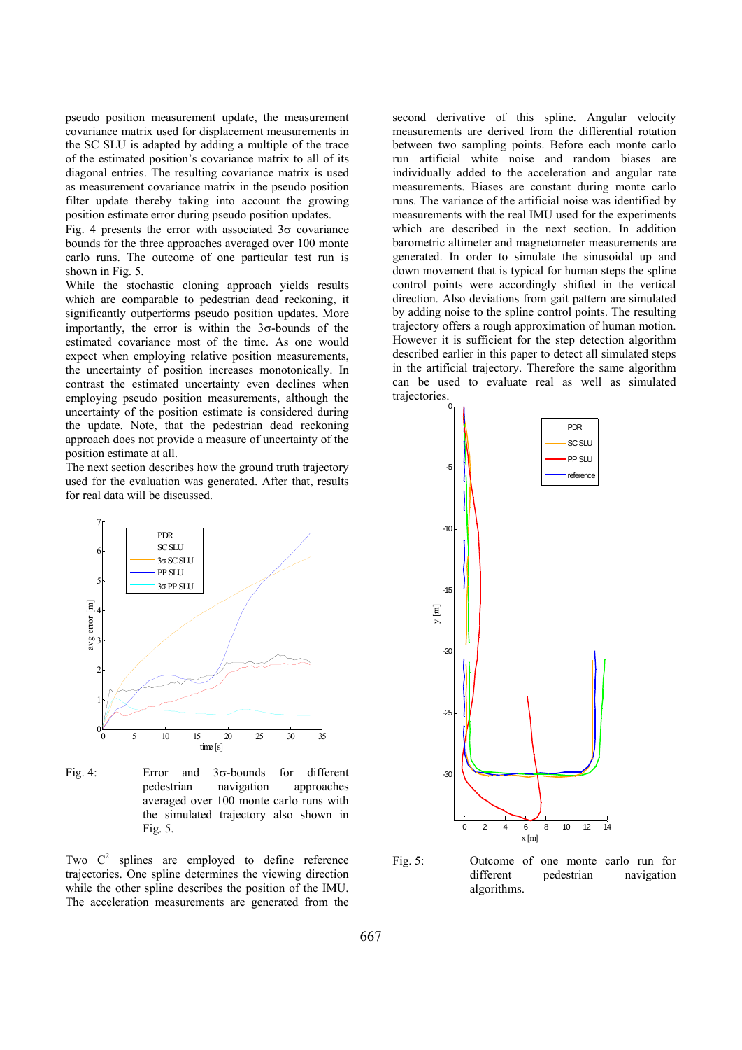pseudo position measurement update, the measurement covariance matrix used for displacement measurements in the SC SLU is adapted by adding a multiple of the trace of the estimated position's covariance matrix to all of its diagonal entries. The resulting covariance matrix is used as measurement covariance matrix in the pseudo position filter update thereby taking into account the growing position estimate error during pseudo position updates.

Fig. 4 presents the error with associated  $3\sigma$  covariance bounds for the three approaches averaged over 100 monte carlo runs. The outcome of one particular test run is shown in Fig. 5.

While the stochastic cloning approach yields results which are comparable to pedestrian dead reckoning, it significantly outperforms pseudo position updates. More importantly, the error is within the  $3\sigma$ -bounds of the estimated covariance most of the time. As one would expect when employing relative position measurements, the uncertainty of position increases monotonically. In contrast the estimated uncertainty even declines when employing pseudo position measurements, although the uncertainty of the position estimate is considered during the update. Note, that the pedestrian dead reckoning approach does not provide a measure of uncertainty of the position estimate at all.

The next section describes how the ground truth trajectory used for the evaluation was generated. After that, results for real data will be discussed.



Fig. 4: Error and  $3\sigma$ -bounds for different pedestrian navigation approaches averaged over 100 monte carlo runs with the simulated trajectory also shown in Fig.  $5$ .

Two  $C^2$  splines are employed to define reference trajectories. One spline determines the viewing direction while the other spline describes the position of the IMU. The acceleration measurements are generated from the second derivative of this spline. Angular velocity measurements are derived from the differential rotation between two sampling points. Before each monte carlo run artificial white noise and random biases are individually added to the acceleration and angular rate measurements. Biases are constant during monte carlo runs. The variance of the artificial noise was identified by measurements with the real IMU used for the experiments which are described in the next section. In addition barometric altimeter and magnetometer measurements are generated. In order to simulate the sinusoidal up and down movement that is typical for human steps the spline control points were accordingly shifted in the vertical direction. Also deviations from gait pattern are simulated by adding noise to the spline control points. The resulting trajectory offers a rough approximation of human motion. However it is sufficient for the step detection algorithm described earlier in this paper to detect all simulated steps in the artificial trajectory. Therefore the same algorithm can be used to evaluate real as well as simulated trajectories.



Fig. 5: Outcome of one monte carlo run for different pedestrian navigation algorithms.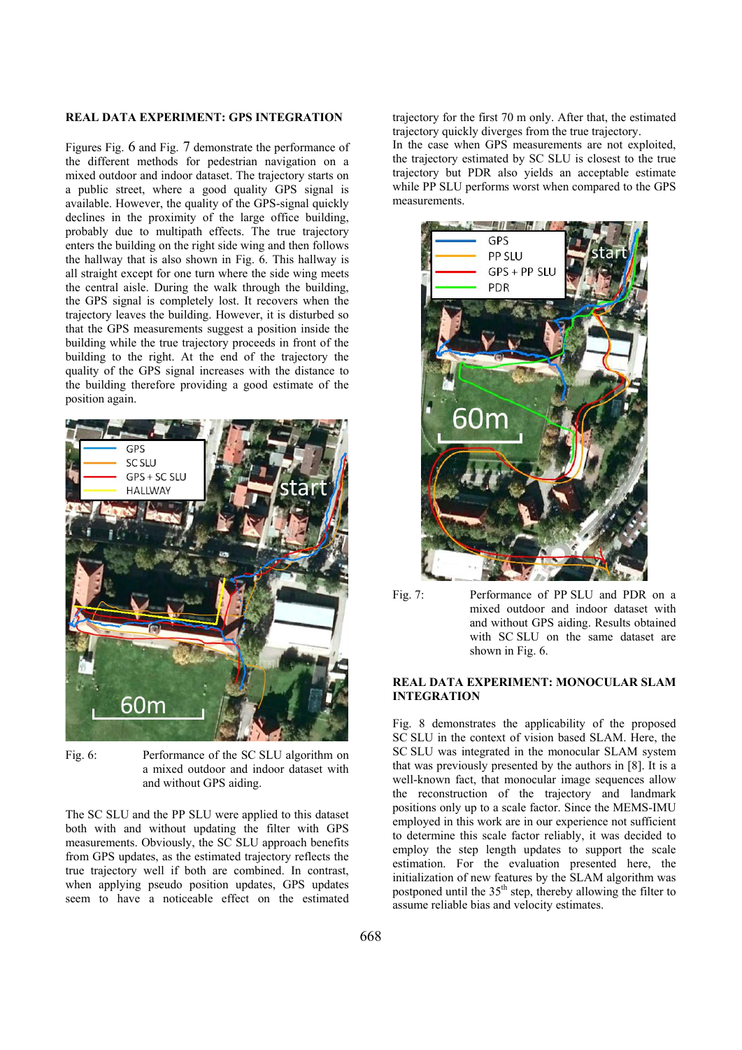#### **REAL DATA EXPERIMENT: GPS INTEGRATION**

Figures Fig. 6 and Fig. 7 demonstrate the performance of the different methods for pedestrian navigation on a mixed outdoor and indoor dataset. The trajectory starts on a public street, where a good quality GPS signal is available. However, the quality of the GPS-signal quickly declines in the proximity of the large office building, probably due to multipath effects. The true trajectory enters the building on the right side wing and then follows the hallway that is also shown in Fig. 6. This hallway is all straight except for one turn where the side wing meets the central aisle. During the walk through the building, the GPS signal is completely lost. It recovers when the trajectory leaves the building. However, it is disturbed so that the GPS measurements suggest a position inside the building while the true trajectory proceeds in front of the building to the right. At the end of the trajectory the quality of the GPS signal increases with the distance to the building therefore providing a good estimate of the position again.



Fig. 6: Performance of the SC SLU algorithm on a mixed outdoor and indoor dataset with and without GPS aiding.

The SC SLU and the PP SLU were applied to this dataset both with and without updating the filter with GPS measurements. Obviously, the SC SLU approach benefits from GPS updates, as the estimated trajectory reflects the true trajectory well if both are combined. In contrast, when applying pseudo position updates, GPS updates seem to have a noticeable effect on the estimated

trajectory for the first 70 m only. After that, the estimated trajectory quickly diverges from the true trajectory. In the case when GPS measurements are not exploited, the trajectory estimated by SC SLU is closest to the true trajectory but PDR also yields an acceptable estimate while PP SLU performs worst when compared to the GPS measurements.



Fig. 7: Performance of PP SLU and PDR on a mixed outdoor and indoor dataset with and without GPS aiding. Results obtained with SC SLU on the same dataset are shown in Fig. 6.

#### **REAL DATA EXPERIMENT: MONOCULAR SLAM INTEGRATION**

Fig. 8 demonstrates the applicability of the proposed SC SLU in the context of vision based SLAM. Here, the SC SLU was integrated in the monocular SLAM system that was previously presented by the authors in [8]. It is a well-known fact, that monocular image sequences allow the reconstruction of the trajectory and landmark positions only up to a scale factor. Since the MEMS-IMU employed in this work are in our experience not sufficient to determine this scale factor reliably, it was decided to employ the step length updates to support the scale estimation. For the evaluation presented here, the initialization of new features by the SLAM algorithm was postponed until the  $35<sup>th</sup>$  step, thereby allowing the filter to assume reliable bias and velocity estimates.